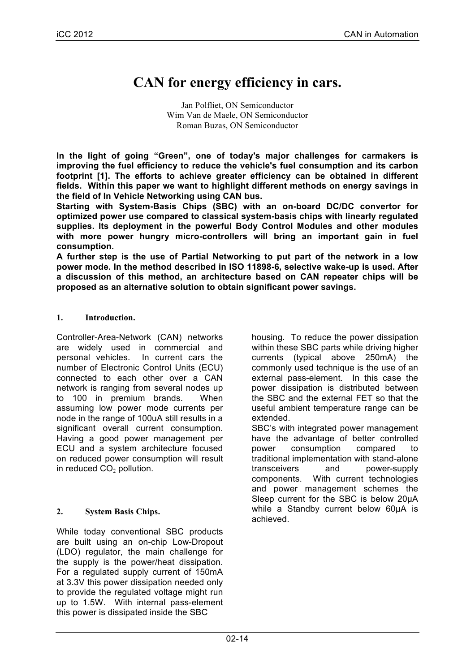# **CAN for energy efficiency in cars.**

Jan Polfliet, ON Semiconductor Wim Van de Maele, ON Semiconductor Roman Buzas, ON Semiconductor

**In the light of going "Green", one of today's major challenges for carmakers is improving the fuel efficiency to reduce the vehicle's fuel consumption and its carbon footprint [1]. The efforts to achieve greater efficiency can be obtained in different fields. Within this paper we want to highlight different methods on energy savings in the field of In Vehicle Networking using CAN bus.**

**Starting with System-Basis Chips (SBC) with an on-board DC/DC convertor for optimized power use compared to classical system-basis chips with linearly regulated supplies. Its deployment in the powerful Body Control Modules and other modules with more power hungry micro-controllers will bring an important gain in fuel consumption.** 

**A further step is the use of Partial Networking to put part of the network in a low power mode. In the method described in ISO 11898-6, selective wake-up is used. After a discussion of this method, an architecture based on CAN repeater chips will be proposed as an alternative solution to obtain significant power savings.**

# **1. Introduction.**

Controller-Area-Network (CAN) networks are widely used in commercial and personal vehicles. In current cars the number of Electronic Control Units (ECU) connected to each other over a CAN network is ranging from several nodes up to 100 in premium brands. When assuming low power mode currents per node in the range of 100uA still results in a significant overall current consumption. Having a good power management per ECU and a system architecture focused on reduced power consumption will result in reduced  $CO<sub>2</sub>$  pollution.

# **2. System Basis Chips.**

While today conventional SBC products are built using an on-chip Low-Dropout (LDO) regulator, the main challenge for the supply is the power/heat dissipation. For a regulated supply current of 150mA at 3.3V this power dissipation needed only to provide the regulated voltage might run up to 1.5W. With internal pass-element this power is dissipated inside the SBC

housing. To reduce the power dissipation within these SBC parts while driving higher currents (typical above 250mA) the commonly used technique is the use of an external pass-element. In this case the power dissipation is distributed between the SBC and the external FET so that the useful ambient temperature range can be extended.

SBC's with integrated power management have the advantage of better controlled power consumption compared to traditional implementation with stand-alone transceivers and power-supply components. With current technologies and power management schemes the Sleep current for the SBC is below 20µA while a Standby current below 60µA is achieved.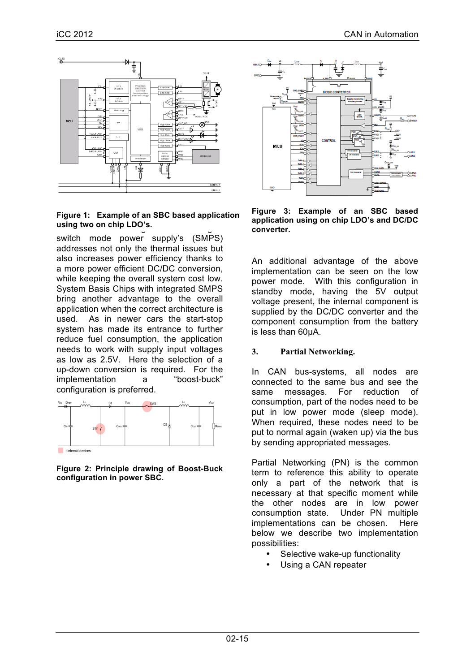

# With further increasing currents moving to **using two on chip LDO's.Figure 1: Example of an SBC based application**

switch mode power supply's (SMPS) addresses not only the thermal issues but also increases power efficiency thanks to a more power efficient DC/DC conversion, while keeping the overall system cost low. System Basis Chips with integrated SMPS bring another advantage to the overall application when the correct architecture is used. As in newer cars the start-stop system has made its entrance to further reduce fuel consumption, the application needs to work with supply input voltages as low as 2.5V. Here the selection of a up-down conversion is required. For the implementation a "boost-buck" configuration is preferred.



**Figure 2: Principle drawing of Boost-Buck configuration in power SBC.**



**Figure 3: Example of an SBC based application using on chip LDO's and DC/DC converter.**

An additional advantage of the above implementation can be seen on the low power mode. With this configuration in standby mode, having the 5V output voltage present, the internal component is supplied by the DC/DC converter and the component consumption from the battery is less than 60µA.

# **3. Partial Networking.**

In CAN bus-systems, all nodes are connected to the same bus and see the same messages. For reduction of consumption, part of the nodes need to be put in low power mode (sleep mode). When required, these nodes need to be put to normal again (waken up) via the bus by sending appropriated messages.

Partial Networking (PN) is the common term to reference this ability to operate only a part of the network that is necessary at that specific moment while the other nodes are in low power consumption state. Under PN multiple implementations can be chosen. Here below we describe two implementation possibilities:

- Selective wake-up functionality
- Using a CAN repeater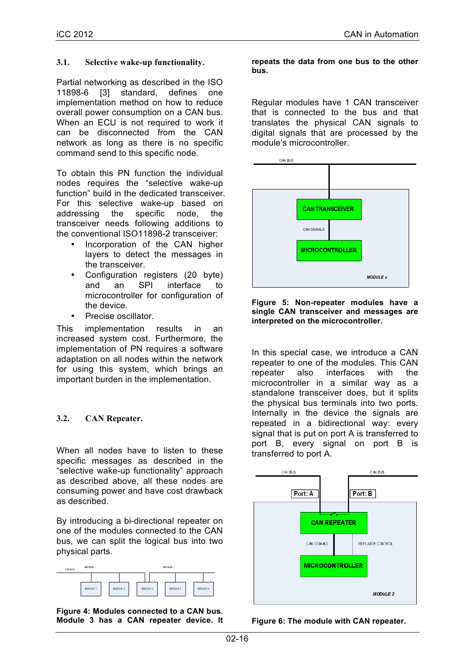#### **3.1. Selective wake-up functionality.**

Partial networking as described in the ISO 11898-6 [3] standard, defines one implementation method on how to reduce overall power consumption on a CAN bus. When an ECU is not required to work it can be disconnected from the CAN network as long as there is no specific command send to this specific node.

To obtain this PN function the individual nodes requires the "selective wake-up function" build in the dedicated transceiver. For this selective wake-up based on addressing the specific node, the transceiver needs following additions to the conventional ISO11898-2 transceiver:

- Incorporation of the CAN higher layers to detect the messages in the transceiver.
- Configuration registers (20 byte)<br>and an SPI interface to and an SPI interface to microcontroller for configuration of the device.
- Precise oscillator.

This implementation results in an increased system cost. Furthermore, the implementation of PN requires a software adaptation on all nodes within the network for using this system, which brings an important burden in the implementation.

## **3.2. CAN Repeater.**

When all nodes have to listen to these specific messages as described in the "selective wake-up functionality" approach as described above, all these nodes are consuming power and have cost drawback as described.

By introducing a bi-directional repeater on one of the modules connected to the CAN bus, we can split the logical bus into two physical parts.



**Figure 4: Modules connected to a CAN bus. Module 3 has a CAN repeater device. It** 

#### **repeats the data from one bus to the other bus.**

Regular modules have 1 CAN transceiver that is connected to the bus and that translates the physical CAN signals to digital signals that are processed by the module's microcontroller.





In this special case, we introduce a CAN repeater to one of the modules. This CAN repeater also interfaces with the microcontroller in a similar way as a standalone transceiver does, but it splits the physical bus terminals into two ports. Internally in the device the signals are repeated in a bidirectional way: every signal that is put on port A is transferred to port B, every signal on port B is transferred to port A.



**Figure 6: The module with CAN repeater.**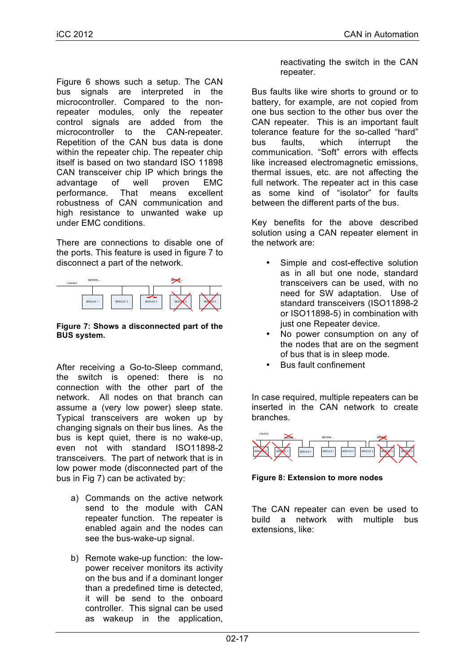Figure 6 shows such a setup. The CAN bus signals are interpreted in the microcontroller. Compared to the nonrepeater modules, only the repeater control signals are added from the microcontroller to the CAN-repeater. Repetition of the CAN bus data is done within the repeater chip. The repeater chip itself is based on two standard ISO 11898 CAN transceiver chip IP which brings the advantage of well proven EMC performance. That means excellent robustness of CAN communication and high resistance to unwanted wake up under EMC conditions.

There are connections to disable one of the ports. This feature is used in figure 7 to disconnect a part of the network.



#### **Figure 7: Shows a disconnected part of the BUS system.**

After receiving a Go-to-Sleep command, the switch is opened: there is no connection with the other part of the network. All nodes on that branch can assume a (very low power) sleep state. Typical transceivers are woken up by changing signals on their bus lines. As the bus is kept quiet, there is no wake-up, even not with standard ISO11898-2 transceivers. The part of network that is in low power mode (disconnected part of the bus in Fig 7) can be activated by:

- a) Commands on the active network send to the module with CAN repeater function. The repeater is enabled again and the nodes can see the bus-wake-up signal.
- b) Remote wake-up function: the lowpower receiver monitors its activity on the bus and if a dominant longer than a predefined time is detected, it will be send to the onboard controller. This signal can be used as wakeup in the application,

reactivating the switch in the CAN repeater.

Bus faults like wire shorts to ground or to battery, for example, are not copied from one bus section to the other bus over the CAN repeater. This is an important fault tolerance feature for the so-called "hard" bus faults, which interrupt the communication. "Soft" errors with effects like increased electromagnetic emissions, thermal issues, etc. are not affecting the full network. The repeater act in this case as some kind of "isolator" for faults between the different parts of the bus.

Key benefits for the above described solution using a CAN repeater element in the network are:

- Simple and cost-effective solution as in all but one node, standard transceivers can be used, with no need for SW adaptation. Use of standard transceivers (ISO11898-2 or ISO11898-5) in combination with just one Repeater device.
- No power consumption on any of the nodes that are on the segment of bus that is in sleep mode.
- Bus fault confinement

In case required, multiple repeaters can be inserted in the CAN network to create branches.



**Figure 8: Extension to more nodes**

The CAN repeater can even be used to build a network with multiple bus extensions, like: